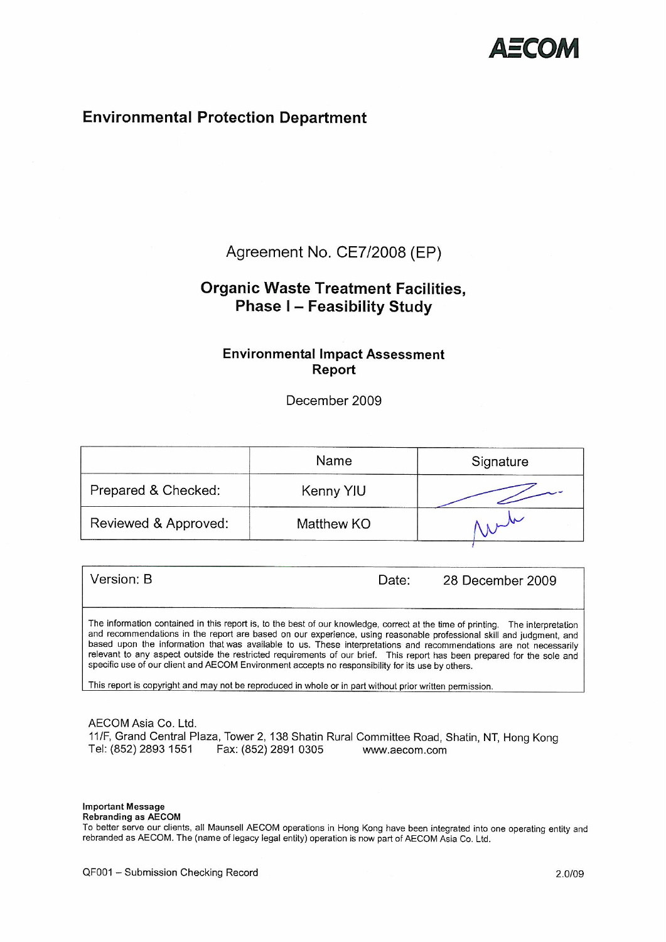

# **Environmental Protection Department**

## Agreement No. CE7/2008 (EP)

# **Organic Waste Treatment Facilities, Phase I-Feasibility Study**

## **Environmental Impact Assessment** Report

December 2009

|                      | Name       | Signature |
|----------------------|------------|-----------|
| Prepared & Checked:  | Kenny YIU  |           |
| Reviewed & Approved: | Matthew KO |           |

Version: B Date: 28 December 2009 The information contained in this report is, to the best of our knowledge, correct at the time of printing. The interpretation and recommendations in the report are based on our experience, using reasonable professional skill and judgment, and based upon the information that was available to us. These interpretations and recommendations are not necessarily relevant to any aspect outside the restricted requirements of our brief. This report has been prepared for the sole and

This report is copyright and may not be reproduced in whole or in part without prior written permission.

rebranded as AECOM. The (name of legacy legal entity) operation is now part of AECOM Asia Co. Ltd.

specific use of our client and AECOM Environment accepts no responsibility for its use by others.

AECOM Asia Co. Ltd. 11/F, Grand Central Plaza, Tower 2, 138 Shatin Rural Committee Road, Shatin, NT, Hong Kong Tel: (852) 2893 1551 Fax: (852) 2891 0305 www.aecom.com

**Important Message Rebranding as AECOM** 

To better serve our clients, all Maunsell AECOM operations in Hong Kong have been integrated into one operating entity and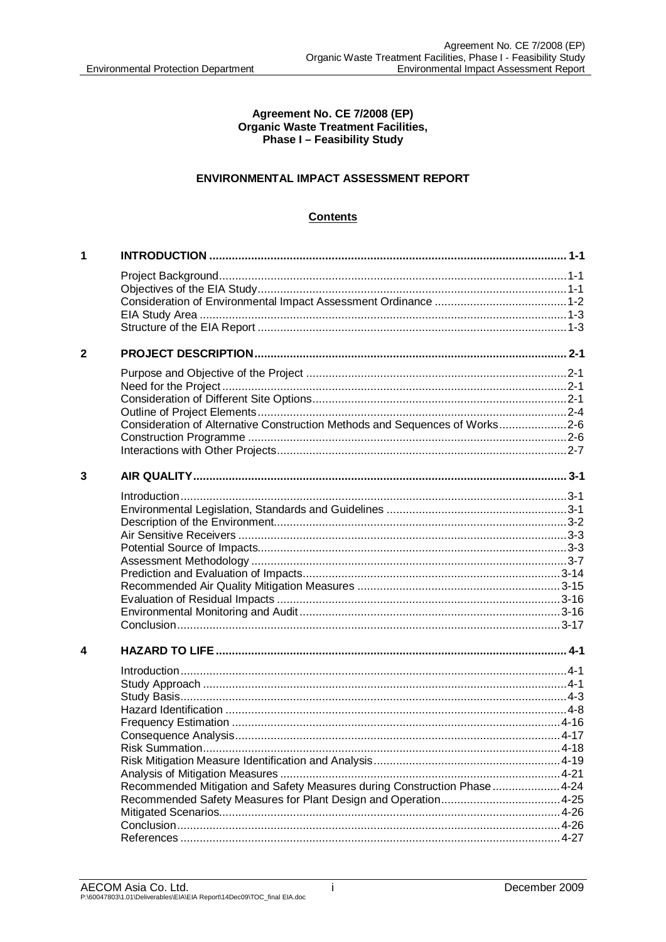#### Agreement No. CE 7/2008 (EP) **Organic Waste Treatment Facilities, Phase I-Feasibility Study**

### ENVIRONMENTAL IMPACT ASSESSMENT REPORT

## **Contents**

| 1            |                                                                             |  |
|--------------|-----------------------------------------------------------------------------|--|
|              |                                                                             |  |
|              |                                                                             |  |
|              |                                                                             |  |
|              |                                                                             |  |
|              |                                                                             |  |
| $\mathbf{2}$ |                                                                             |  |
|              |                                                                             |  |
|              |                                                                             |  |
|              |                                                                             |  |
|              |                                                                             |  |
|              | Consideration of Alternative Construction Methods and Sequences of Works2-6 |  |
|              |                                                                             |  |
|              |                                                                             |  |
| 3            |                                                                             |  |
|              |                                                                             |  |
|              |                                                                             |  |
|              |                                                                             |  |
|              |                                                                             |  |
|              |                                                                             |  |
|              |                                                                             |  |
|              |                                                                             |  |
|              |                                                                             |  |
|              |                                                                             |  |
|              |                                                                             |  |
|              |                                                                             |  |
| 4            |                                                                             |  |
|              |                                                                             |  |
|              |                                                                             |  |
|              |                                                                             |  |
|              |                                                                             |  |
|              |                                                                             |  |
|              |                                                                             |  |
|              |                                                                             |  |
|              |                                                                             |  |
|              | Recommended Mitigation and Safety Measures during Construction Phase  4-24  |  |
|              |                                                                             |  |
|              |                                                                             |  |
|              |                                                                             |  |
|              |                                                                             |  |
|              |                                                                             |  |

İ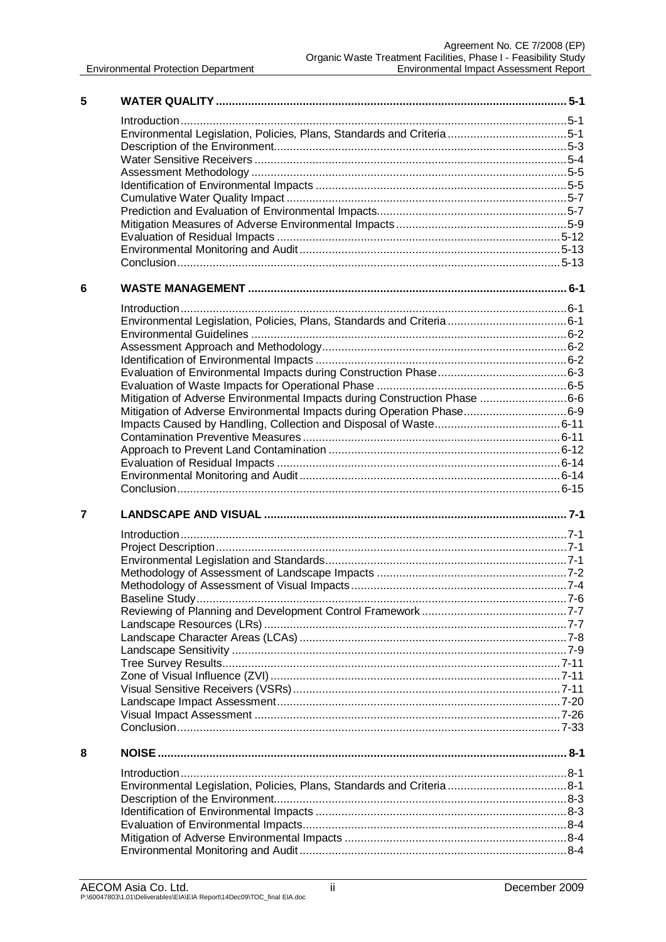| 5 |                                                                           |  |
|---|---------------------------------------------------------------------------|--|
|   |                                                                           |  |
|   | Environmental Legislation, Policies, Plans, Standards and Criteria5-1     |  |
|   |                                                                           |  |
|   |                                                                           |  |
|   |                                                                           |  |
|   |                                                                           |  |
|   |                                                                           |  |
|   |                                                                           |  |
|   |                                                                           |  |
|   |                                                                           |  |
|   |                                                                           |  |
|   |                                                                           |  |
| 6 |                                                                           |  |
|   |                                                                           |  |
|   |                                                                           |  |
|   |                                                                           |  |
|   |                                                                           |  |
|   |                                                                           |  |
|   |                                                                           |  |
|   |                                                                           |  |
|   | Mitigation of Adverse Environmental Impacts during Construction Phase 6-6 |  |
|   | Mitigation of Adverse Environmental Impacts during Operation Phase6-9     |  |
|   |                                                                           |  |
|   |                                                                           |  |
|   |                                                                           |  |
|   |                                                                           |  |
|   |                                                                           |  |
| 7 |                                                                           |  |
|   |                                                                           |  |
|   |                                                                           |  |
|   |                                                                           |  |
|   |                                                                           |  |
|   |                                                                           |  |
|   |                                                                           |  |
|   |                                                                           |  |
|   |                                                                           |  |
|   |                                                                           |  |
|   |                                                                           |  |
|   |                                                                           |  |
|   |                                                                           |  |
|   |                                                                           |  |
|   |                                                                           |  |
|   |                                                                           |  |
|   |                                                                           |  |
| 8 |                                                                           |  |
|   |                                                                           |  |
|   | Environmental Legislation, Policies, Plans, Standards and Criteria 8-1    |  |
|   |                                                                           |  |
|   |                                                                           |  |
|   |                                                                           |  |
|   |                                                                           |  |
|   |                                                                           |  |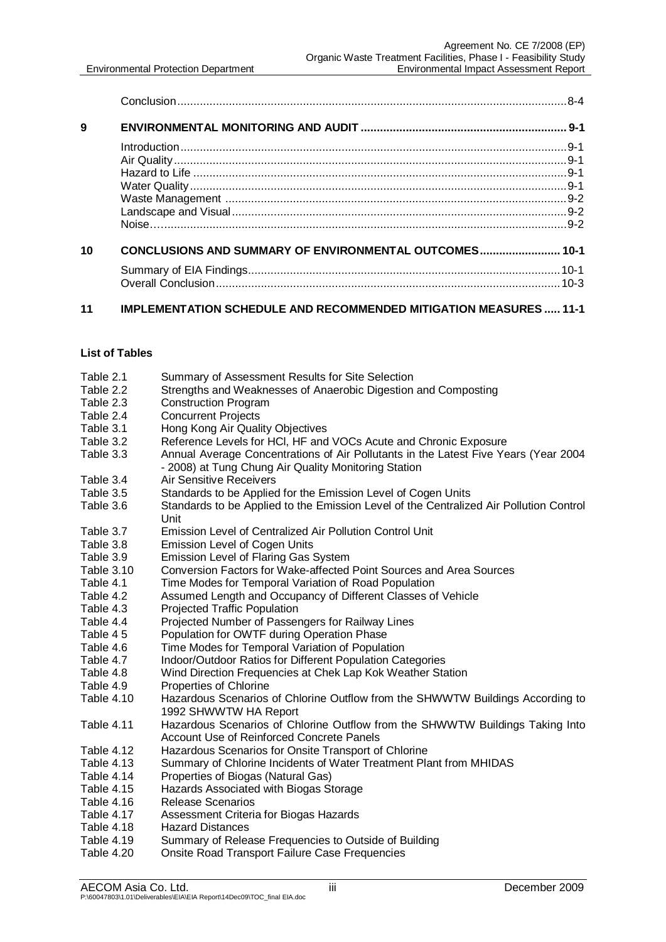| 9  |                                                        |  |
|----|--------------------------------------------------------|--|
|    |                                                        |  |
|    |                                                        |  |
|    |                                                        |  |
|    |                                                        |  |
|    |                                                        |  |
|    |                                                        |  |
|    |                                                        |  |
| 10 | CONCLUSIONS AND SUMMARY OF ENVIRONMENTAL OUTCOMES 10-1 |  |
|    |                                                        |  |
|    |                                                        |  |
|    |                                                        |  |

### **11 IMPLEMENTATION SCHEDULE AND RECOMMENDED MITIGATION MEASURES ..... 11-1**

#### **List of Tables**

|  | Table 2.1 | Summary of Assessment Results for Site Selection |
|--|-----------|--------------------------------------------------|
|--|-----------|--------------------------------------------------|

- Table 2.2 Strengths and Weaknesses of Anaerobic Digestion and Composting<br>Table 2.3 Construction Program
- Construction Program
- Table 2.4 Concurrent Projects<br>Table 3.1 Hong Kong Air Qual
- Hong Kong Air Quality Objectives
- Table 3.2 Reference Levels for HCl, HF and VOCs Acute and Chronic Exposure
- Table 3.3 Annual Average Concentrations of Air Pollutants in the Latest Five Years (Year 2004 - 2008) at Tung Chung Air Quality Monitoring Station
- Table 3.4 Air Sensitive Receivers
- Table 3.5 Standards to be Applied for the Emission Level of Cogen Units
- Table 3.6 Standards to be Applied to the Emission Level of the Centralized Air Pollution Control Unit
- Table 3.7 Emission Level of Centralized Air Pollution Control Unit
- Table 3.8 Emission Level of Cogen Units<br>Table 3.9 Emission Level of Flaring Gas
- Table 3.9 Emission Level of Flaring Gas System<br>Table 3.10 Conversion Factors for Wake-affected
- Conversion Factors for Wake-affected Point Sources and Area Sources
- Table 4.1 Time Modes for Temporal Variation of Road Population
- Table 4.2 Assumed Length and Occupancy of Different Classes of Vehicle
- Table 4.3 Projected Traffic Population
- Table 4.4 Projected Number of Passengers for Railway Lines
- Table 4 5 Population for OWTF during Operation Phase
- Table 4.6 Time Modes for Temporal Variation of Population
- Table 4.7 Indoor/Outdoor Ratios for Different Population Categories
- Table 4.8 Wind Direction Frequencies at Chek Lap Kok Weather Station
- Table 4.9 Properties of Chlorine
- Table 4.10 Hazardous Scenarios of Chlorine Outflow from the SHWWTW Buildings According to 1992 SHWWTW HA Report
- Table 4.11 Hazardous Scenarios of Chlorine Outflow from the SHWWTW Buildings Taking Into Account Use of Reinforced Concrete Panels
- Table 4.12 Hazardous Scenarios for Onsite Transport of Chlorine
- Table 4.13 Summary of Chlorine Incidents of Water Treatment Plant from MHIDAS
- Table 4.14 Properties of Biogas (Natural Gas)
- Table 4.15 Hazards Associated with Biogas Storage
- Table 4.16 Release Scenarios<br>Table 4.17 Assessment Criteria
- Table 4.17 Assessment Criteria for Biogas Hazards<br>Table 4.18 Hazard Distances
- Table 4.18 Hazard Distances<br>Table 4.19 Summarv of Relea
- Summary of Release Frequencies to Outside of Building
- Table 4.20 Onsite Road Transport Failure Case Frequencies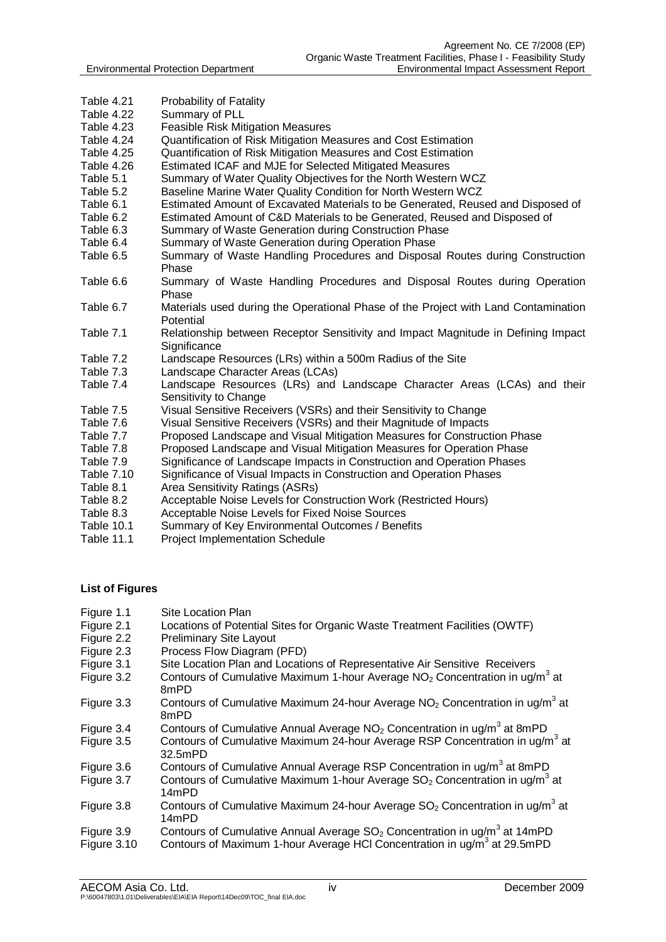- Table 4.21 Probability of Fatality
- Table 4.22 Summary of PLL
- Table 4.23 Feasible Risk Mitigation Measures
- Table 4.24 Cuantification of Risk Mitigation Measures and Cost Estimation<br>Table 4.25 Cuantification of Risk Mitigation Measures and Cost Estimation
- Quantification of Risk Mitigation Measures and Cost Estimation
- Table 4.26 Estimated ICAF and MJE for Selected Mitigated Measures
- Table 5.1 Summary of Water Quality Objectives for the North Western WCZ
- Table 5.2 Baseline Marine Water Quality Condition for North Western WCZ
- Table 6.1 Estimated Amount of Excavated Materials to be Generated, Reused and Disposed of
- Table 6.2 Estimated Amount of C&D Materials to be Generated, Reused and Disposed of
- Table 6.3 Summary of Waste Generation during Construction Phase
- Table 6.4 Summary of Waste Generation during Operation Phase
- Table 6.5 Summary of Waste Handling Procedures and Disposal Routes during Construction Phase
- Table 6.6 Summary of Waste Handling Procedures and Disposal Routes during Operation Phase
- Table 6.7 Materials used during the Operational Phase of the Project with Land Contamination **Potential**
- Table 7.1 Relationship between Receptor Sensitivity and Impact Magnitude in Defining Impact **Significance**
- Table 7.2 Landscape Resources (LRs) within a 500m Radius of the Site
- Table 7.3 Landscape Character Areas (LCAs)
- Table 7.4 Landscape Resources (LRs) and Landscape Character Areas (LCAs) and their Sensitivity to Change
- Table 7.5 Visual Sensitive Receivers (VSRs) and their Sensitivity to Change
- Table 7.6 Visual Sensitive Receivers (VSRs) and their Magnitude of Impacts
- Table 7.7 Proposed Landscape and Visual Mitigation Measures for Construction Phase
- Table 7.8 Proposed Landscape and Visual Mitigation Measures for Operation Phase
- Table 7.9 Significance of Landscape Impacts in Construction and Operation Phases
- Table 7.10 Significance of Visual Impacts in Construction and Operation Phases
- Table 8.1 Area Sensitivity Ratings (ASRs)
- Table 8.2 Acceptable Noise Levels for Construction Work (Restricted Hours)
- Table 8.3 Acceptable Noise Levels for Fixed Noise Sources<br>Table 10.1 Summary of Key Environmental Outcomes / Bene
- Summary of Key Environmental Outcomes / Benefits
- Table 11.1 Project Implementation Schedule

### **List of Figures**

- Figure 1.1 Site Location Plan
- Figure 2.1 Locations of Potential Sites for Organic Waste Treatment Facilities (OWTF)
- Figure 2.2 Preliminary Site Layout
- Figure 2.3 Process Flow Diagram (PFD)
- Figure 3.1 Site Location Plan and Locations of Representative Air Sensitive Receivers
- Figure 3.2 Contours of Cumulative Maximum 1-hour Average NO<sub>2</sub> Concentration in ug/m<sup>3</sup> at 8mPD
- Figure 3.3 Contours of Cumulative Maximum 24-hour Average  $NO<sub>2</sub>$  Concentration in ug/m<sup>3</sup> at 8mPD
- Figure 3.4 Contours of Cumulative Annual Average  $NO<sub>2</sub>$  Concentration in ug/m<sup>3</sup> at 8mPD
- Figure 3.5 Contours of Cumulative Maximum 24-hour Average RSP Concentration in ug/m<sup>3</sup> at 32.5mPD
- Figure 3.6 Contours of Cumulative Annual Average RSP Concentration in ug/m<sup>3</sup> at 8mPD
- Figure 3.7 Contours of Cumulative Maximum 1-hour Average  $SO<sub>2</sub>$  Concentration in ug/m<sup>3</sup> at 14mPD
- Figure 3.8 Contours of Cumulative Maximum 24-hour Average  $SO<sub>2</sub>$  Concentration in ug/m<sup>3</sup> at 14mPD
- Figure 3.9 Contours of Cumulative Annual Average  $SO_2$  Concentration in ug/m<sup>3</sup> at 14mPD
- Figure 3.10 Contours of Maximum 1-hour Average HCI Concentration in ug/m<sup>3</sup> at 29.5mPD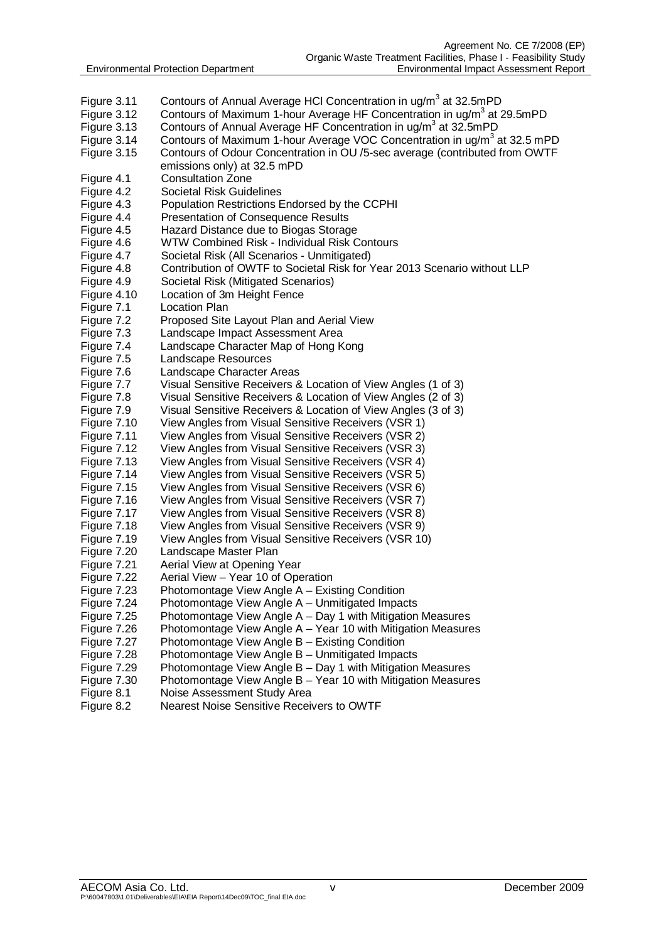- Figure 3.11 Contours of Annual Average HCI Concentration in ug/m<sup>3</sup> at 32.5mPD
- Figure 3.12 Contours of Maximum 1-hour Average HF Concentration in ug/m<sup>3</sup> at 29.5mPD
- Figure 3.13 Contours of Annual Average HF Concentration in ug/m<sup>3</sup> at 32.5mPD
- Figure 3.14 Contours of Maximum 1-hour Average VOC Concentration in ug/m<sup>3</sup> at 32.5 mPD
- Figure 3.15 Contours of Odour Concentration in OU /5-sec average (contributed from OWTF emissions only) at 32.5 mPD
- Figure 4.1 Consultation Zone
- Figure 4.2 Societal Risk Guidelines
- Figure 4.3 Population Restrictions Endorsed by the CCPHI
- Figure 4.4 Presentation of Consequence Results
- Figure 4.5 Hazard Distance due to Biogas Storage
- Figure 4.6 WTW Combined Risk Individual Risk Contours
- Figure 4.7 Societal Risk (All Scenarios Unmitigated)<br>Figure 4.8 Contribution of OWTF to Societal Risk for Y
	- Contribution of OWTF to Societal Risk for Year 2013 Scenario without LLP
- Figure 4.9 Societal Risk (Mitigated Scenarios)
- Figure 4.10 Location of 3m Height Fence
- Figure 7.1 Location Plan
- Figure 7.2 Proposed Site Layout Plan and Aerial View
- Figure 7.3 Landscape Impact Assessment Area
- Figure 7.4 Landscape Character Map of Hong Kong
- Figure 7.5 Landscape Resources
- Figure 7.6 Landscape Character Areas
- 
- Figure 7.7 Visual Sensitive Receivers & Location of View Angles (1 of 3)<br>Figure 7.8 Visual Sensitive Receivers & Location of View Angles (2 of 3) Visual Sensitive Receivers & Location of View Angles (2 of 3)
- Figure 7.9 Visual Sensitive Receivers & Location of View Angles (3 of 3)
- Figure 7.10 View Angles from Visual Sensitive Receivers (VSR 1)
- Figure 7.11 View Angles from Visual Sensitive Receivers (VSR 2)
- Figure 7.12 View Angles from Visual Sensitive Receivers (VSR 3)
- Figure 7.13 View Angles from Visual Sensitive Receivers (VSR 4)
- Figure 7.14 View Angles from Visual Sensitive Receivers (VSR 5)
- Figure 7.15 View Angles from Visual Sensitive Receivers (VSR 6)
- Figure 7.16 View Angles from Visual Sensitive Receivers (VSR 7)
- Figure 7.17 View Angles from Visual Sensitive Receivers (VSR 8)
- Figure 7.18 View Angles from Visual Sensitive Receivers (VSR 9)
- Figure 7.19 View Angles from Visual Sensitive Receivers (VSR 10)
- Figure 7.20 Landscape Master Plan
- Figure 7.21 Aerial View at Opening Year
- Figure 7.22 Aerial View Year 10 of Operation
- Figure 7.23 Photomontage View Angle A Existing Condition
- Figure 7.24 Photomontage View Angle A Unmitigated Impacts
- Figure 7.25 Photomontage View Angle A Day 1 with Mitigation Measures
- Figure 7.26 Photomontage View Angle A Year 10 with Mitigation Measures<br>Figure 7.27 Photomontage View Angle B Existing Condition
- Photomontage View Angle  $B$  Existing Condition
- Figure 7.28 Photomontage View Angle B Unmitigated Impacts
- Figure 7.29 Photomontage View Angle B Day 1 with Mitigation Measures
- Figure 7.30 Photomontage View Angle B Year 10 with Mitigation Measures
- Figure 8.1 Noise Assessment Study Area
- Figure 8.2 Nearest Noise Sensitive Receivers to OWTF